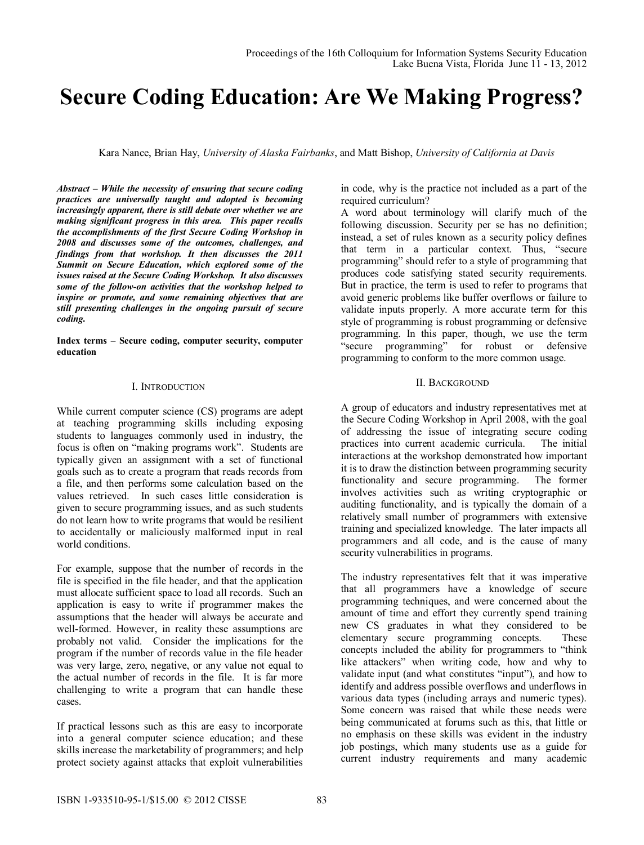# **Secure Coding Education: Are We Making Progress?**

Kara Nance, Brian Hay, *University of Alaska Fairbanks*, and Matt Bishop, *University of California at Davis*

*Abstract – While the necessity of ensuring that secure coding practices are universally taught and adopted is becoming increasingly apparent, there is still debate over whether we are making significant progress in this area. This paper recalls the accomplishments of the first Secure Coding Workshop in 2008 and discusses some of the outcomes, challenges, and findings from that workshop. It then discusses the 2011 Summit on Secure Education, which explored some of the issues raised at the Secure Coding Workshop. It also discusses some of the follow-on activities that the workshop helped to inspire or promote, and some remaining objectives that are still presenting challenges in the ongoing pursuit of secure coding.* 

**Index terms – Secure coding, computer security, computer education** 

### I. INTRODUCTION

While current computer science (CS) programs are adept at teaching programming skills including exposing students to languages commonly used in industry, the focus is often on "making programs work". Students are typically given an assignment with a set of functional goals such as to create a program that reads records from a file, and then performs some calculation based on the values retrieved. In such cases little consideration is given to secure programming issues, and as such students do not learn how to write programs that would be resilient to accidentally or maliciously malformed input in real world conditions.

For example, suppose that the number of records in the file is specified in the file header, and that the application must allocate sufficient space to load all records. Such an application is easy to write if programmer makes the assumptions that the header will always be accurate and well-formed. However, in reality these assumptions are probably not valid. Consider the implications for the program if the number of records value in the file header was very large, zero, negative, or any value not equal to the actual number of records in the file. It is far more challenging to write a program that can handle these cases.

If practical lessons such as this are easy to incorporate into a general computer science education; and these skills increase the marketability of programmers; and help protect society against attacks that exploit vulnerabilities

in code, why is the practice not included as a part of the required curriculum?

A word about terminology will clarify much of the following discussion. Security per se has no definition; instead, a set of rules known as a security policy defines that term in a particular context. Thus, "secure programming" should refer to a style of programming that produces code satisfying stated security requirements. But in practice, the term is used to refer to programs that avoid generic problems like buffer overflows or failure to validate inputs properly. A more accurate term for this style of programming is robust programming or defensive programming. In this paper, though, we use the term "secure programming" for robust or defensive programming to conform to the more common usage.

### II. BACKGROUND

A group of educators and industry representatives met at the Secure Coding Workshop in April 2008, with the goal of addressing the issue of integrating secure coding practices into current academic curricula. The initial interactions at the workshop demonstrated how important it is to draw the distinction between programming security<br>functionality and secure programming. The former functionality and secure programming. involves activities such as writing cryptographic or auditing functionality, and is typically the domain of a relatively small number of programmers with extensive training and specialized knowledge. The later impacts all programmers and all code, and is the cause of many security vulnerabilities in programs.

The industry representatives felt that it was imperative that all programmers have a knowledge of secure programming techniques, and were concerned about the amount of time and effort they currently spend training new CS graduates in what they considered to be elementary secure programming concepts. These concepts included the ability for programmers to "think like attackers" when writing code, how and why to validate input (and what constitutes "input"), and how to identify and address possible overflows and underflows in various data types (including arrays and numeric types). Some concern was raised that while these needs were being communicated at forums such as this, that little or no emphasis on these skills was evident in the industry job postings, which many students use as a guide for current industry requirements and many academic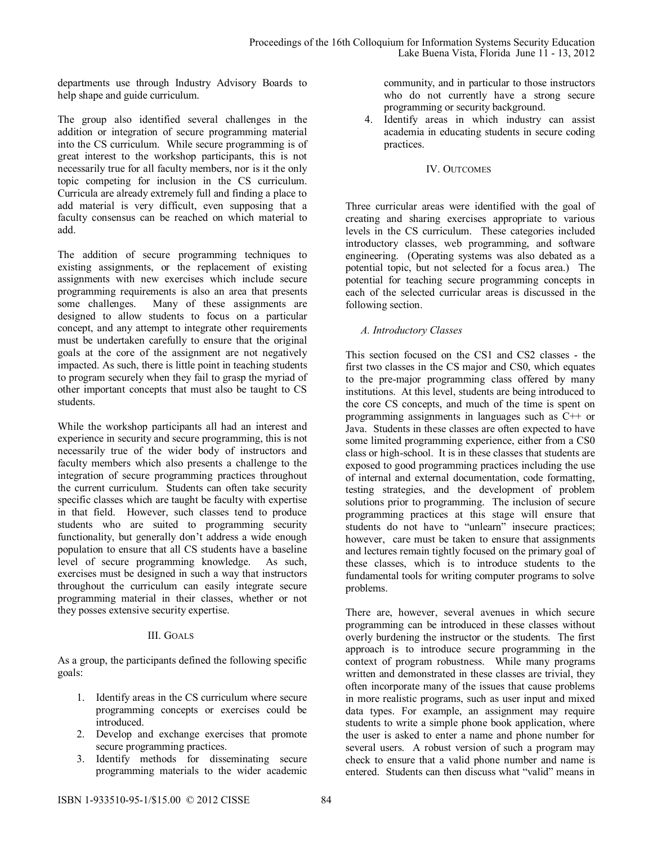departments use through Industry Advisory Boards to help shape and guide curriculum.

The group also identified several challenges in the addition or integration of secure programming material into the CS curriculum. While secure programming is of great interest to the workshop participants, this is not necessarily true for all faculty members, nor is it the only topic competing for inclusion in the CS curriculum. Curricula are already extremely full and finding a place to add material is very difficult, even supposing that a faculty consensus can be reached on which material to add.

The addition of secure programming techniques to existing assignments, or the replacement of existing assignments with new exercises which include secure programming requirements is also an area that presents some challenges. Many of these assignments are designed to allow students to focus on a particular concept, and any attempt to integrate other requirements must be undertaken carefully to ensure that the original goals at the core of the assignment are not negatively impacted. As such, there is little point in teaching students to program securely when they fail to grasp the myriad of other important concepts that must also be taught to CS students.

While the workshop participants all had an interest and experience in security and secure programming, this is not necessarily true of the wider body of instructors and faculty members which also presents a challenge to the integration of secure programming practices throughout the current curriculum. Students can often take security specific classes which are taught be faculty with expertise in that field. However, such classes tend to produce students who are suited to programming security functionality, but generally don't address a wide enough population to ensure that all CS students have a baseline level of secure programming knowledge. As such, exercises must be designed in such a way that instructors throughout the curriculum can easily integrate secure programming material in their classes, whether or not they posses extensive security expertise.

### III. GOALS

As a group, the participants defined the following specific goals:

- 1. Identify areas in the CS curriculum where secure programming concepts or exercises could be introduced.
- 2. Develop and exchange exercises that promote secure programming practices.
- 3. Identify methods for disseminating secure programming materials to the wider academic

community, and in particular to those instructors who do not currently have a strong secure programming or security background.

4. Identify areas in which industry can assist academia in educating students in secure coding practices.

## IV. OUTCOMES

Three curricular areas were identified with the goal of creating and sharing exercises appropriate to various levels in the CS curriculum. These categories included introductory classes, web programming, and software engineering. (Operating systems was also debated as a potential topic, but not selected for a focus area.) The potential for teaching secure programming concepts in each of the selected curricular areas is discussed in the following section.

# *A. Introductory Classes*

This section focused on the CS1 and CS2 classes - the first two classes in the CS major and CS0, which equates to the pre-major programming class offered by many institutions. At this level, students are being introduced to the core CS concepts, and much of the time is spent on programming assignments in languages such as C++ or Java. Students in these classes are often expected to have some limited programming experience, either from a CS0 class or high-school. It is in these classes that students are exposed to good programming practices including the use of internal and external documentation, code formatting, testing strategies, and the development of problem solutions prior to programming. The inclusion of secure programming practices at this stage will ensure that students do not have to "unlearn" insecure practices; however, care must be taken to ensure that assignments and lectures remain tightly focused on the primary goal of these classes, which is to introduce students to the fundamental tools for writing computer programs to solve problems.

There are, however, several avenues in which secure programming can be introduced in these classes without overly burdening the instructor or the students. The first approach is to introduce secure programming in the context of program robustness. While many programs written and demonstrated in these classes are trivial, they often incorporate many of the issues that cause problems in more realistic programs, such as user input and mixed data types. For example, an assignment may require students to write a simple phone book application, where the user is asked to enter a name and phone number for several users. A robust version of such a program may check to ensure that a valid phone number and name is entered. Students can then discuss what "valid" means in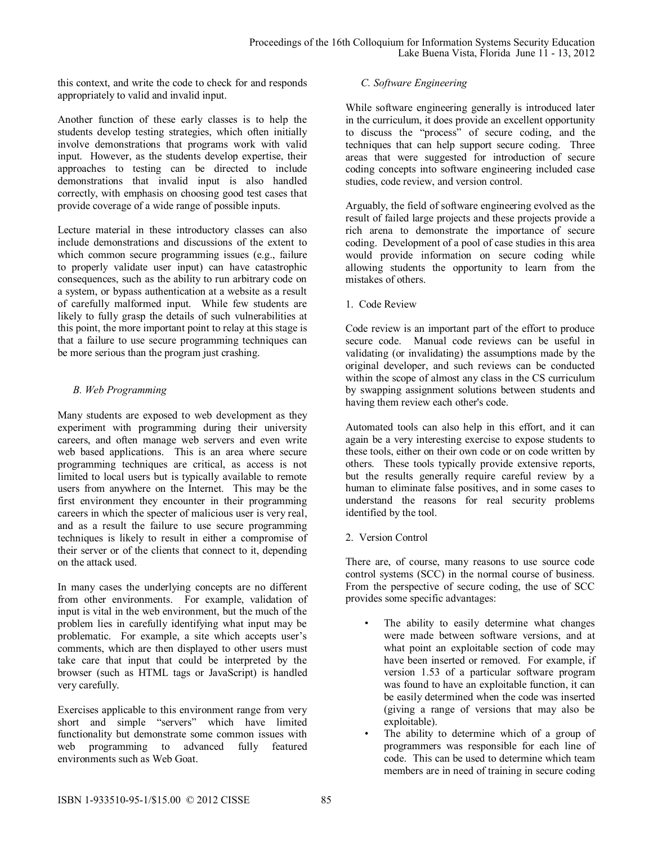this context, and write the code to check for and responds appropriately to valid and invalid input.

Another function of these early classes is to help the students develop testing strategies, which often initially involve demonstrations that programs work with valid input. However, as the students develop expertise, their approaches to testing can be directed to include demonstrations that invalid input is also handled correctly, with emphasis on choosing good test cases that provide coverage of a wide range of possible inputs.

Lecture material in these introductory classes can also include demonstrations and discussions of the extent to which common secure programming issues (e.g., failure to properly validate user input) can have catastrophic consequences, such as the ability to run arbitrary code on a system, or bypass authentication at a website as a result of carefully malformed input. While few students are likely to fully grasp the details of such vulnerabilities at this point, the more important point to relay at this stage is that a failure to use secure programming techniques can be more serious than the program just crashing.

# *B. Web Programming*

Many students are exposed to web development as they experiment with programming during their university careers, and often manage web servers and even write web based applications. This is an area where secure programming techniques are critical, as access is not limited to local users but is typically available to remote users from anywhere on the Internet. This may be the first environment they encounter in their programming careers in which the specter of malicious user is very real, and as a result the failure to use secure programming techniques is likely to result in either a compromise of their server or of the clients that connect to it, depending on the attack used.

In many cases the underlying concepts are no different from other environments. For example, validation of input is vital in the web environment, but the much of the problem lies in carefully identifying what input may be problematic. For example, a site which accepts user's comments, which are then displayed to other users must take care that input that could be interpreted by the browser (such as HTML tags or JavaScript) is handled very carefully.

Exercises applicable to this environment range from very short and simple "servers" which have limited functionality but demonstrate some common issues with web programming to advanced fully featured environments such as Web Goat.

## *C. Software Engineering*

While software engineering generally is introduced later in the curriculum, it does provide an excellent opportunity to discuss the "process" of secure coding, and the techniques that can help support secure coding. Three areas that were suggested for introduction of secure coding concepts into software engineering included case studies, code review, and version control.

Arguably, the field of software engineering evolved as the result of failed large projects and these projects provide a rich arena to demonstrate the importance of secure coding. Development of a pool of case studies in this area would provide information on secure coding while allowing students the opportunity to learn from the mistakes of others.

1. Code Review

Code review is an important part of the effort to produce secure code. Manual code reviews can be useful in validating (or invalidating) the assumptions made by the original developer, and such reviews can be conducted within the scope of almost any class in the CS curriculum by swapping assignment solutions between students and having them review each other's code.

Automated tools can also help in this effort, and it can again be a very interesting exercise to expose students to these tools, either on their own code or on code written by others. These tools typically provide extensive reports, but the results generally require careful review by a human to eliminate false positives, and in some cases to understand the reasons for real security problems identified by the tool.

2. Version Control

There are, of course, many reasons to use source code control systems (SCC) in the normal course of business. From the perspective of secure coding, the use of SCC provides some specific advantages:

- The ability to easily determine what changes were made between software versions, and at what point an exploitable section of code may have been inserted or removed. For example, if version 1.53 of a particular software program was found to have an exploitable function, it can be easily determined when the code was inserted (giving a range of versions that may also be exploitable).
- The ability to determine which of a group of programmers was responsible for each line of code. This can be used to determine which team members are in need of training in secure coding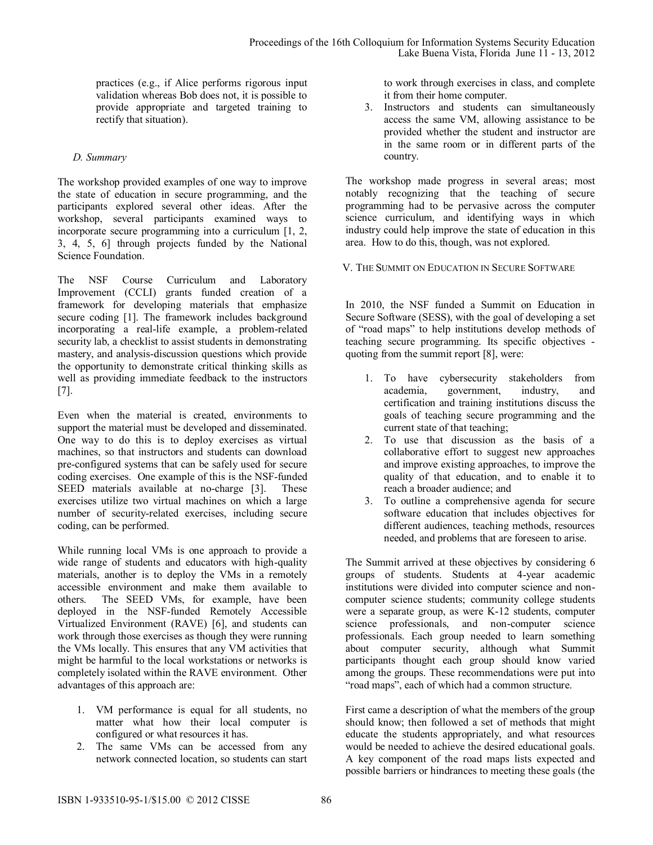practices (e.g., if Alice performs rigorous input validation whereas Bob does not, it is possible to provide appropriate and targeted training to rectify that situation).

## *D. Summary*

The workshop provided examples of one way to improve the state of education in secure programming, and the participants explored several other ideas. After the workshop, several participants examined ways to incorporate secure programming into a curriculum [1, 2, 3, 4, 5, 6] through projects funded by the National Science Foundation.

The NSF Course Curriculum and Laboratory Improvement (CCLI) grants funded creation of a framework for developing materials that emphasize secure coding [1]. The framework includes background incorporating a real-life example, a problem-related security lab, a checklist to assist students in demonstrating mastery, and analysis-discussion questions which provide the opportunity to demonstrate critical thinking skills as well as providing immediate feedback to the instructors [7].

Even when the material is created, environments to support the material must be developed and disseminated. One way to do this is to deploy exercises as virtual machines, so that instructors and students can download pre-configured systems that can be safely used for secure coding exercises. One example of this is the NSF-funded SEED materials available at no-charge [3]. These exercises utilize two virtual machines on which a large number of security-related exercises, including secure coding, can be performed.

While running local VMs is one approach to provide a wide range of students and educators with high-quality materials, another is to deploy the VMs in a remotely accessible environment and make them available to others. The SEED VMs, for example, have been deployed in the NSF-funded Remotely Accessible Virtualized Environment (RAVE) [6], and students can work through those exercises as though they were running the VMs locally. This ensures that any VM activities that might be harmful to the local workstations or networks is completely isolated within the RAVE environment. Other advantages of this approach are:

- 1. VM performance is equal for all students, no matter what how their local computer is configured or what resources it has.
- 2. The same VMs can be accessed from any network connected location, so students can start

to work through exercises in class, and complete it from their home computer.

3. Instructors and students can simultaneously access the same VM, allowing assistance to be provided whether the student and instructor are in the same room or in different parts of the country.

The workshop made progress in several areas; most notably recognizing that the teaching of secure programming had to be pervasive across the computer science curriculum, and identifying ways in which industry could help improve the state of education in this area. How to do this, though, was not explored.

V. THE SUMMIT ON EDUCATION IN SECURE SOFTWARE

In 2010, the NSF funded a Summit on Education in Secure Software (SESS), with the goal of developing a set of "road maps" to help institutions develop methods of teaching secure programming. Its specific objectives quoting from the summit report [8], were:

- 1. To have cybersecurity stakeholders from academia, government, industry, and certification and training institutions discuss the goals of teaching secure programming and the current state of that teaching;
- 2. To use that discussion as the basis of a collaborative effort to suggest new approaches and improve existing approaches, to improve the quality of that education, and to enable it to reach a broader audience; and
- 3. To outline a comprehensive agenda for secure software education that includes objectives for different audiences, teaching methods, resources needed, and problems that are foreseen to arise.

The Summit arrived at these objectives by considering 6 groups of students. Students at 4-year academic institutions were divided into computer science and noncomputer science students; community college students were a separate group, as were K-12 students, computer science professionals, and non-computer science professionals. Each group needed to learn something about computer security, although what Summit participants thought each group should know varied among the groups. These recommendations were put into "road maps", each of which had a common structure.

First came a description of what the members of the group should know; then followed a set of methods that might educate the students appropriately, and what resources would be needed to achieve the desired educational goals. A key component of the road maps lists expected and possible barriers or hindrances to meeting these goals (the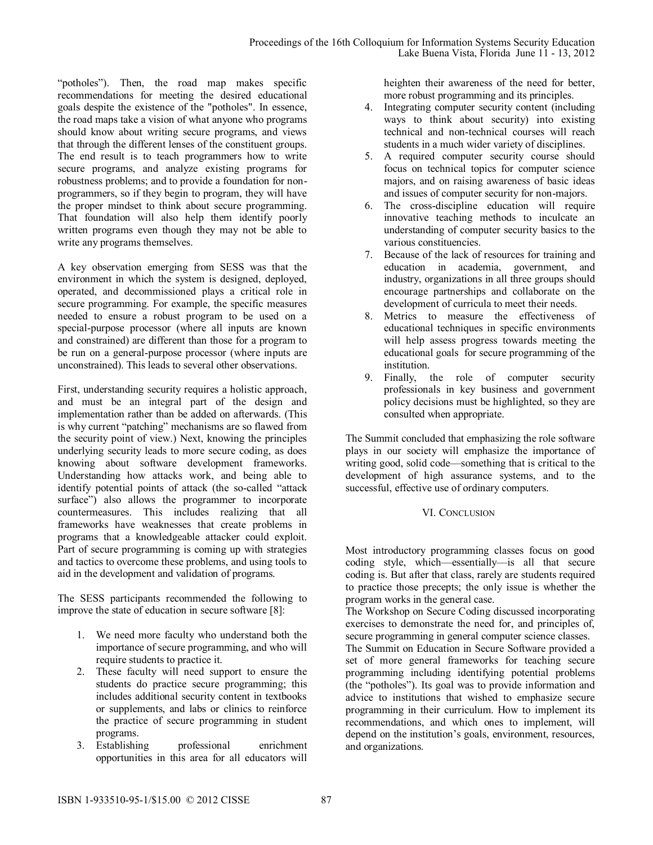"potholes"). Then, the road map makes specific recommendations for meeting the desired educational goals despite the existence of the "potholes". In essence, the road maps take a vision of what anyone who programs should know about writing secure programs, and views that through the different lenses of the constituent groups. The end result is to teach programmers how to write secure programs, and analyze existing programs for robustness problems; and to provide a foundation for nonprogrammers, so if they begin to program, they will have the proper mindset to think about secure programming. That foundation will also help them identify poorly written programs even though they may not be able to write any programs themselves.

A key observation emerging from SESS was that the environment in which the system is designed, deployed, operated, and decommissioned plays a critical role in secure programming. For example, the specific measures needed to ensure a robust program to be used on a special-purpose processor (where all inputs are known and constrained) are different than those for a program to be run on a general-purpose processor (where inputs are unconstrained). This leads to several other observations.

First, understanding security requires a holistic approach, and must be an integral part of the design and implementation rather than be added on afterwards. (This is why current "patching" mechanisms are so flawed from the security point of view.) Next, knowing the principles underlying security leads to more secure coding, as does knowing about software development frameworks. Understanding how attacks work, and being able to identify potential points of attack (the so-called "attack surface") also allows the programmer to incorporate countermeasures. This includes realizing that all frameworks have weaknesses that create problems in programs that a knowledgeable attacker could exploit. Part of secure programming is coming up with strategies and tactics to overcome these problems, and using tools to aid in the development and validation of programs.

The SESS participants recommended the following to improve the state of education in secure software [8]:

- 1. We need more faculty who understand both the importance of secure programming, and who will require students to practice it.
- 2. These faculty will need support to ensure the students do practice secure programming; this includes additional security content in textbooks or supplements, and labs or clinics to reinforce the practice of secure programming in student programs.
- 3. Establishing professional enrichment opportunities in this area for all educators will

heighten their awareness of the need for better, more robust programming and its principles.

- 4. Integrating computer security content (including ways to think about security) into existing technical and non-technical courses will reach students in a much wider variety of disciplines.
- 5. A required computer security course should focus on technical topics for computer science majors, and on raising awareness of basic ideas and issues of computer security for non-majors.
- 6. The cross-discipline education will require innovative teaching methods to inculcate an understanding of computer security basics to the various constituencies.
- 7. Because of the lack of resources for training and education in academia, government, and industry, organizations in all three groups should encourage partnerships and collaborate on the development of curricula to meet their needs.
- 8. Metrics to measure the effectiveness of educational techniques in specific environments will help assess progress towards meeting the educational goals for secure programming of the institution.
- 9. Finally, the role of computer security professionals in key business and government policy decisions must be highlighted, so they are consulted when appropriate.

The Summit concluded that emphasizing the role software plays in our society will emphasize the importance of writing good, solid code—something that is critical to the development of high assurance systems, and to the successful, effective use of ordinary computers.

# VI. CONCLUSION

Most introductory programming classes focus on good coding style, which—essentially—is all that secure coding is. But after that class, rarely are students required to practice those precepts; the only issue is whether the program works in the general case.

The Workshop on Secure Coding discussed incorporating exercises to demonstrate the need for, and principles of, secure programming in general computer science classes.

The Summit on Education in Secure Software provided a set of more general frameworks for teaching secure programming including identifying potential problems (the "potholes"). Its goal was to provide information and advice to institutions that wished to emphasize secure programming in their curriculum. How to implement its recommendations, and which ones to implement, will depend on the institution's goals, environment, resources, and organizations.